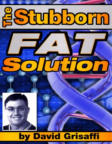# **Fundologian**

# by David Grisaffi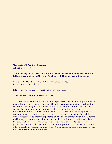**Copyright © 2007 David Grisaffi** All rights reserved.

**You may copy the electronic file for this ebook and distribute it at will, with the full permission of David Grisaffi. This book is FREE and may not be resold.**

Published by David Grisaffi and Personal Fitness Development in the United States of America.

**Editor:** Lee A. Howard (lee allen howard@yahoo.com)

#### **A WORD OF CAUTION: DISCLAIMER**

This book is for reference and informational purposes only and is no way intended as medical counseling or medical advice. The information contained herein should not be used to treat, diagnose, or prevent a disease or medical condition without the advice of a competent medical professional. This book deals with in-depth information on health, fitness, and nutrition. Most of the information applies to everyone in general; however, not everyone has the same body type. We each have different responses to exercise depending on our choice of intensity and diet. Before making any changes in your lifestyle, you should consult with a physician to discover the best solution for your individual body type. The author, writer, editors, and graphic designer shall have neither liability nor responsibility to any person or entity with respect to any damage or injury alleged to be caused directly or indirectly by the information contained in this book.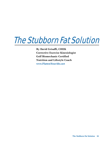

**By David Grisaffi, CHEK Corrective Exercise Kinesiologist Golf Biomechanic Certified Nutrition and Lifestyle Coach [www.FlattenYourAbs.net](http://exercise.davidfit.hop.clickbank.net)**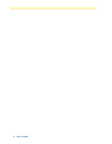#### **iv Dave Grisaffi**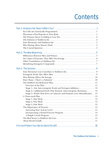## **Contents**

| Stage 1-Eat Anti-estrogenic Foods and Estrogen inhibitors 12              |
|---------------------------------------------------------------------------|
| Stage 2-Additional Foods That Promote Anti-estrogenic Hormones. 12        |
| Stage 3-Foods That Serve as Cofactors and Promote Liver Detoxification 13 |
|                                                                           |
|                                                                           |
|                                                                           |
|                                                                           |
|                                                                           |
|                                                                           |
| Incorporating a Formal Exercise Program 14                                |
|                                                                           |
|                                                                           |
|                                                                           |
|                                                                           |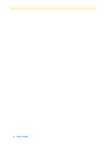#### **vi Dave Grisaffi**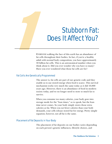# <span id="page-6-0"></span>Stubborn Fat: Does It Affect You?

EVERYONE walking the face of this earth has an abundance of fat cells throughout their bodies. In fact, if you're a healthy adult with normal body composition, you have approximately 30 billion fat cells. This is an astronomical number when you think about it. Did you ever wonder why you have so many? Have you ever wondered what those fat cells are for?

#### <span id="page-6-1"></span>Fat Cells Are Genetically Programmed

The answer is, fat cells are part of our genetic code and they enable us to use stored energy when food is scarce. This survival mechanism works very much the same today as it did 10,000 years ago. However, there is an abundance of food in modern society today, and we no longer need to store so much fat to survive.

When you consume too many calories, your body goes into storage mode for the "lean times," so to speak, but the lean time never comes. So your body simply stores those extra calories as fat. When you eat fewer calories than your body demands, your cells release stored fat for energy. Pretty simple equation; however, not all fat is the same.

#### <span id="page-6-2"></span>Placement of Fat Deposits in Your Body

The placement of fat deposits on our bodies varies depending on each person's genetic influences, lifestyle choices, and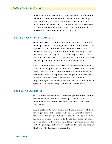nutritional intake. Men tend to store their body fat around their bellies and chest. Women tend to store it around their hips, buttocks, thighs, and the backs of their arms. A complete discussion of hormones and fat storage is beyond the scope of this article, but let it suffice to say that certain hormonal processes do determine body fat distribution.

#### <span id="page-7-0"></span>The Primary Factor in Failing to Lose Fat

Many people who attempt to lose body fat fail to account for one major factor, a stumbling block to long-term success. They approach fat loss and fitness with great enthusiasm and determination and, with this attitude, they lose body fat and feel great. Even so, they just can't seem to get rid of *all* the fat they want to. They lose fat successfully for a time, but ultimately get stuck just before all of the fat is completely gone.

This is commonly known as a *plateau*, and this phenomenon causes many people who were previously successful to lose their enthusiasm and return to their old ways. When old habits take over again—and this happens to the majority of dieters—the body fat comes back with a vengeance. This is due to programming of the fat cell. Each time you try to lose body fat again, it seems to take longer and require more effort.

#### <span id="page-7-1"></span>The Solution to Stubborn Fat

So what is the real solution? It's simple: you must understand how fat cells work and how to move past the plateau phenomenon and lose the last bit of body fat—what we call *"stubborn fat."*

I have worked with many clients and I would say most of them have a good amount of stubborn body fat. This fat is literally programmed to be very difficult to lose. It seems to remain on our bodies no matter what we do, hence the phrase stubborn fat. Most modern diets and weight loss programs seem to work in the beginning, but they never really address this crucial part of fat loss—the last bit of stubborn fat.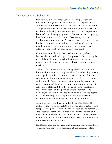#### <span id="page-8-0"></span>Your Hormones and Stubborn Fat

Stubborn fat develops when your hormonal pathways are broken down. Age does play a role in this: fat deposits increase and become more resistant to fat loss methods as you get older. This you have little control over, but some things that lead to stubborn fat development are under your control. Yo-yo dieting is one of them. Losing weight on crash diets and then regaining it—often known as the "rebound effect"—only increase stubborn fat in the long run. A decrease in exercise and activity level also compounds the stubborn fat problem. This is why people who crash-diet on low calories and refuse to exercise often have the worst stubborn fat problems of all.

Our ancestors really never had to deal with this problem because they moved and engaged in physical labor as a regular part of daily life, whereas technological conveniences and the modern lifestyle have caused many of us to become lazy and inactive.

Stubborn fat is metabolized extremely slowly and resists the hormonal process that takes place when the fat burning process starts up. To burn fat, the adrenal hormones (better known as adrenaline and noradrenaline) attach to the fat cell receptors and essentially "open them up" so the fat can be used in the energy pathways. There are two kinds of receptors in your fat cells: one is alpha and the other beta. The beta receptors are much more active and respond to adrenal hormones. To lose body fat, the adrenal hormones switch on and the body begins to use fat as energy. However, in the case of people with stubborn fat, this does not occur, so no body fat is lost.

According to my good friend and colleague Ori Hofmekler, author of *The Warrior Diet*, stubborn fat has a lower ratio of beta receptors to alpha receptors. Therefore, your body's hormonal "fat dissolver," adrenaline, is unable to enter the fat cell and open the door. Hofmekler also points out that "to make these matters worse, stubborn fat has more estrogen receptors, which cause even more stubborn fat."

If all this sounds bad enough, what makes it even worse is that if you indulge in the typical modern diet and sedentary lifestyle,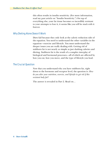this often results in insulin sensitivity. (For more information, read my past article on "Insulin Sensitivity.") On top of everything else, your fat tissue becomes so incredibly resistant to your attempts to lose it, it seems like you will be stuck with it forever.

#### <span id="page-9-0"></span>Why Dieting Alone Doesn't Work

Diets fail because they only look at the caloric reduction side of the equation. You need to understand the other variables in the equation—exercise and lifestyle. You must understand the deeper issues you are really dealing with. Getting rid of stubborn fat is not nearly as simple as just slashing calories and dieting. Stubborn fat is the result of a complex interplay of biological and hormonal processes—all of which are affected by how you eat, how you move, and the type of lifestyle you lead.

#### <span id="page-9-1"></span>The Crucial Question

Now that you understand why you have stubborn fat, right down to the hormone and receptor level, the question is: *How do you alter your nutrition, exercise, and lifestyle to get rid if this resistant body fat?*

The answer is revealed in Part 2. Read on…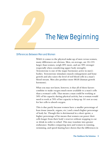# The New Beginning

#### <span id="page-10-1"></span><span id="page-10-0"></span>Differences Between Men and Women

WHEN it comes to the physical make-up of men versus women, many differences are obvious. Men, on average, are 10–15% larger than women, weigh 20% more, and are 30% stronger (especially when considering upper body strength). Testosterone is one of the major hormones active in men's bodies. Testosterone stimulates muscle enlargement and bone growth and also raises the level of red blood cells in a man's blood stream. Men also produce more HGH (human growth hormone).

What you may not know, however, is that all of these factors combine to make oxygen much more available to a man's cells than a woman's cells. That means a man could be working at 50% of his capacity during physical activity, but a woman would need to work at 70% of her capacity to keep up. It's not as easy for her cells to absorb oxygen.

This is due partly because women have a smaller percentage of lean tissue (muscle, organs, etc.) and a much higher percentage of body fat. Though this is detrimental in a short sprint, a higher percentage of fat means that women can power their cells longer from their body's reserves without stopping to eat or drink in order to refuel. This may translate into greater endurance. Studies comparing men and women in running, swimming, and speed skating have shown that the differences in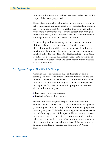time versus distance decreased between men and women as the length of the event progressed.

Hundreds of studies have showed some interesting differences between men and women in nearly every area. Looking through the research, you would discover all kinds of facts such as how much more likely women are to wear a seatbelt than men (two times more likely), to how often they are the sexual initiators in a monogamous relationship (65% of the time).

As interesting as those facts may be, let's concentrate on the differences between men and women that affect women's physical fitness. These differences are primarily found in the functioning of a woman's hormones and the construction and function of her fat cells. These two factors influence everything from the way a woman's metabolism functions to how likely she is to suffer from stubborn fat and other health-related diseases such as osteoporosis.

#### <span id="page-11-0"></span>Two Types of Enzymes That Affect Fat Storage

Although the construction of male and female fat cells is basically the same, they differ vastly when it comes to size and function. To begin with, women's fat cells are five times larger than men's! In addition, not only are women's cells capable of holding more fat, they are genetically programmed to do so. It all comes down to enzymes:

- **Lipogenic**—Fat-storing enzymes
- **Lipolytic**—Fat-releasing enzymes

Even though these enzymes are present in both men and women, women's bodies have two times the number of lipogenic (fat-storing) enzymes, and only half the number of lipolytic (fatreleasing) enzymes. This is the genetic legacy of women's role as the childbearing gender of the species. Nature wanted to ensure that women carried enough fat cells to nurture their growing babies and to breast-feed them after they were born. A baby inutero requires the mother to burn at least 300 extra calories a day, and breast-feeding can require as much as 500 extra calories.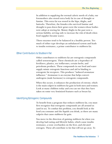In addition to supplying the normal caloric needs of a baby, our foremothers also stored extra body fat in case of drought or famine. This extra fat was stored in the hips, thighs, and buttocks. Therefore, the females who survived famine and drought to pass down their genes were the women whose bodies were adept at storing fat. Skinny thighs in the past were a serious liability, serving only to increase the risk of death when food supplies became scarce.

These enzymes tend to be balanced in a healthy person. Too much of either type develops an unbalanced system and leads to insulin resistance, a prime contributor to stubborn fat.

#### <span id="page-12-0"></span>Other Contributors to Stubborn Fat

Other contributors to stubborn fat are estrogenic compounds called xenoestrogens. These chemicals are a byproduct of fertilizers, plastics, soy isoflavones, certain herbs, and petroleum products. These compounds in our food and water supply mimic estrogenic functions and aid in binding to estrogenic fat receptors. This produces "induced aromatase influence." Aromatase is an enzyme that helps convert androgens (male hormone) to estrogenic compounds.

When this occurs, it enhances the production of estrone, which is the main culprit in stubborn fat gain in both men and women. Look at many children today and you can see that they have taken on some very feminized features such as breast fat.

#### <span id="page-12-1"></span>Identifying Estrogenic Compounds

To benefit from a program that reduces stubborn fat, you must first recognize that estrogenic compounds are all around us (and in us). To combat this problem, you should look at the food you consume and the liquids you drink, as there are many culprits that cause stubborn fat gain.

You move in the direction of gaining stubborn fat when you develop bad eating and lifestyle habits, which cause insulin resistance, a toxic overburden on the liver, and elevated estrogen. These all contribute to fat that will not go away. To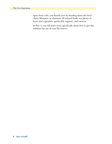open these cells, you should start by heading down the food chain. Minimize or eliminate all refined foods, eat plenty of fruits and vegetables (preferably organic), and exercise.

In Part 3, you will learn more specifically about how to get this stubborn fat out of your life forever.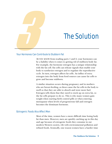# The Solution

#### <span id="page-14-1"></span><span id="page-14-0"></span>Your Hormones Can Contribute to Stubborn Fat

AS YOU KNOW from reading parts 1 and 2, your hormones can be a liability when it comes to getting rid of stubborn body fat. For example, the hormone estrogen has a unique relationship with the fat cell. Fat cells can release signals that enable your body to synthesize estrogen and to regulate the reproductive cycle. In turn, estrogen affects fat cells. An influx of extra estrogen into the body from food sources can cause fat cells to grow and become stubborn.

A similar situation occurs during pregnancy and in mothers who are breast-feeding, as these cause the fat cells in the body to swell so that they are able to absorb and store more fuel. Estrogen tells them that they need to stock up on extra fat, so the fat cells prepare to do so. This is why many women gain weight when starting birth control pills or when entering menopause when levels of progesterone fall and estrogen becomes the dominant hormone.

#### <span id="page-14-2"></span>Estrogenic Foods Also Affect Men

Most of the time, women have a more difficult time losing body fat than men. However, men are quickly catching up in this day and age because of estrogenic foods they consume in our modern Western society, rife with environmental pollution and refined foods. Ironically, one reason women have a harder time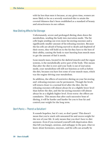with fat loss than men is because, at any given time, women are more likely to be on a severely restricted diet to attain the coveted thinness that's been established as a standard of beauty and attractiveness in our culture.

#### <span id="page-15-0"></span>How Dieting Affects Fat Storage

Unfortunately, severe and prolonged dieting shuts down the metabolism, sending the body into starvation mode. The fat cells begin sending out even more fat-storing enzymes and a significantly smaller amount of fat-releasing enzymes. Because the fat cells are afraid of being starved to death and depleted of their stores, they will hold on to the fat they have to the best of their ability, causing the body to start burning lean muscle mass to get the amount of fuel it needs.

Lean muscle mass, located in the skeletal muscles and the organ systems, is the metabolically active part of the body. This means that after the diet is over and your body is out of starvation mode, your metabolism will still not function as well as before the diet, because you have lost some of your muscle mass, which was the engine driving your metabolism.

In addition, the effects of restrictive dieting on your fat-storing and -releasing enzymes can be permanent. Though the levels will return closer to a normal level after the diet, the fatreleasing enzymes will almost always be at a slightly lower level than before the diet, and the fat-storing enzymes will almost always be at a slightly higher level. Even worse: the effects are cumulative. This means that after each successive bout of dieting, it will be harder and harder for you to lose fat and control your weight for the long term.

#### <span id="page-15-1"></span>Don't Panic—There's a Solution!

It sounds hopeless, but it's not, so don't panic! This doesn't mean that you're stuck with unwanted fat and excess weight for the rest of your life. It only means that you don't have to diet anymore. Even if you tortured yourself with deprivation diets that left you hungry, anxious, and unhappy in the past, what we know about hormones, enzymes, and fat cells can actually be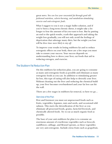great news. *You can lose your unwanted fat through good oldfashioned nutrition, calorie-burning, and metabolism-stimulating exercise and anti-estrogenic foods*.

What I suggest to you is not a magic bullet solution, and if you've been a long-term chronic dieter, it might take a lot longer to lose the amount of fat you want to lose. But by putting an end to the quick-results, crash-diet approach and taking the weight loss gradually, you will not only avoid the feelings of deprivation that sabotage many diets, but the weight you lose will be *three times more likely to stay off*.

To improve your results in losing stubborn fat and to reduce estrogenic effects on your body, there are a few steps you must take to ensure your success. Your success depends on understanding how to detox your liver, eat foods that aid in reducing estrogen, and exercise.

#### <span id="page-16-0"></span>The Stubborn Fat Reduction Plan

On this stubborn fat reduction plan, you are going to consume as many anti-estrogenic foods as possible and eliminate as many estrogenic foods as you can. In addition to stimulating greater fat loss, this type of eating will also help to detoxify your liver. Without cleaning out the liver and reducing the chemical build up, your liver becomes overburdened and your fat loss can hit the wall.

There are a few stages in stubborn fat removal, so here we go…

#### <span id="page-16-1"></span>Overview of the Plan

First and foremost you must eat unprocessed foods such as fruits, vegetables, legumes, nuts and seeds, and occasional wild salmon. This starts the detoxification of the liver as you eliminate all processed foods, grains, farm-fed livestock, and chemically altered foods. Try to eat as much organic food as possible.

The base of your anti-stubborn fat plan is to consume an enormous amount of cruciferous vegetables such as broccoli, cauliflower, cabbage, and Brussel sprouts, as these vegetables are very anti-estrogenic. Include citrus fruits such as grapefruit,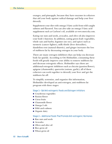oranges, and pineapple, because they have enzymes in cofactors that aid your body against radical damage and help your liver detoxify.

Supplement your diet with omega-3 fatty acids from wild caught salmon and flaxseed. You can also take an omega-3 fatty acid supplement such as Carlson's oil, available at www.mercola.com.

Eating raw nuts and seeds, avocados, and olive oil also improves your body's function. In addition, eating green leafy vegetables, whole oats and barley, legumes (no soy), and spices such as turmeric (cancer fighter), milk thistle (liver detoxifier), dandelion root (natural diuretic), and ginger increases the loss of stubborn fat by decreasing estrogen in your body.

There are many estrogen inhibitors that can help you decrease body fat quickly. According to Ori Hofmekler, consuming these foods will greatly improve your ability to remove stubborn fat and decrease estrogenic effects. Hofmekler says there are additional estrogenic inhibitors such as chrysin (passion flower), apigene (chamomile), quercetin (onions, garlic); all of these cofactors can work together to detoxify your liver and get the stubborn fat off.

To simplify, systemize, and organize this information, Hofmekler developed an anti-estrogen, anti-stubborn fat program with three stages:

#### <span id="page-17-0"></span>Stage 1—Eat Anti-estrogenic Foods and Estrogen inhibitors

- Cruciferous vegetables
- Passion flower
- Citrus fruits
- Chamomile flower
- Omega-3 oils
- Wild catch salmon
- Organic dairy

#### <span id="page-17-1"></span>Stage 2—Additional Foods That Promote Anti-estrogenic Hormones

- Raw nuts and seeds
- Avocados
- Olives and olive oil
- Rice germ oil
- Wheat germ oil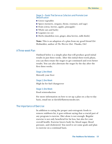#### <span id="page-18-0"></span>Stage 3—Foods That Serve as Cofactors and Promote Liver **Detoxification**

- Green vegetables
- Spices (turmeric, oregano, thyme, rosemary, and sage)
- Fruits (citrus, berries, apples, pineapple)
- Whole oats and barley
- Legumes (*no soy*)
- Herbs (dandelion root, ginger, alma berries, milk thistle)

**Note:** This is an adaption of a plan from my good friend Ori Hofmekler, author of *The Warrior Diet*. Thanks, Ori!

#### <span id="page-18-1"></span>A Three-week Plan

Outlined below is a simple plan that will produce good initial results in just three weeks. After this initial three-week phase, you can then rotate the stages to get continued and even better results. You can also alternate the stages by the day after the first three weeks.

<span id="page-18-2"></span>Stage 1, One Week Detoxify your liver

#### <span id="page-18-3"></span>Stage 2, One Week

High fat for fuel changeover

#### Stage 3, One Week

Food reintroduction

For more information on how to set up a plan on a day-to-day basis, email me at david@flattenyourabs.net.

#### <span id="page-18-5"></span><span id="page-18-4"></span>The Importance of Exercise

In addition to eating the proper anti-estrogenic foods to remove stubborn fat, it goes without saying that a crucial part of any program is exercise. Diet alone is not enough. Regular exercise is not only beneficial for fat loss, but also for your overall health. Exercise lowers body fat, blood sugar, blood pressure, and cholesterol. You need to set some goals and plan to exercise on a continual basis.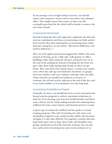If you attempt to lose weight without exercise, you should expect only temporary success and to succumb to the rebound effect. This simply means that sooner or later you will eventually gain back the fat, which will be harder to remove the next time around.

#### <span id="page-19-0"></span>Increasing Your Activity Level

Instead of using the diet-only approach, emphasize the diet and exercise combination and focus on increasing your daily activity level overall. (For more information on exercising more rather than just eating less, see my article, "Movement Sufficiency, Not Calorie Deficiency.")

Here are a few quick and practical suggestions: Walk to the store instead of driving, go for a bike ride, walk upstairs in office buildings rather than using the elevator, and park your car at the end of the parking lot instead of looking for the front row spot. Take short walks during daily breaks or after you get home. Mow your lawn with a push mower; vacuum your carpets every other day; tidy up your backyard, basement, or garage; iron your clothes; wash your windows; and play with your kids. These activities are usually not looked at as exercise or workouts, but all such activity adds up at the end of the day, and it can work wonders as it accumulates over the long haul.

#### <span id="page-19-1"></span>Incorporating a Formal Exercise Program

Naturally, of course, you should also have a more structured and formal exercise program to achieve maximum reductions in body fat. Even mowing your lawn has health benefits and burns some calories, but for really making inroads into reducing those stubborn fat stores, more intense and focused exercise is a must.

A great type of routine for stubborn fat loss goals is a circuit training program. This style of training not only raises your metabolism, improves your cardiovascular ability, and increases strength, it is also time efficient. Put together a routine that uses large body parts such as legs, chest, back, and shoulders into groups and perform all of the exercises nonstop. You can also mix cardio interval training into your circuit workouts or in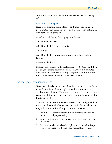addition to your circuit workouts to increase the fat burning effect.

#### <span id="page-20-0"></span>A Simple Circuit Program

Here is an example of an effective and time-efficient circuit program that can easily be performed at home with nothing but dumbbells and a Swiss ball.

A1 – Swiss ball Squats (ball up against the wall)

A2 – Dumbbell Cleans

A3 – Dumbbell Flys on a Swiss Ball

A4 – Lunge

A5 – Dumbbell 3 Matrix (side laterals, bent laterals, front laterals)

A6 – Dumbbell Row

Perform each exercise with perfect form for 6–8 reps and then get on your cardio equipment and go hard for 1–2 minutes. Rest about 90 seconds before repeating the circuit 2–3 more times, as your schedule and fitness level dictate.

#### <span id="page-20-1"></span>The Real Secret to Stubborn Fat Loss

You can easily take one or two ideas from this series, put them to work, and immediately begin to see improvements in stubborn fat reduction. However, the real secret, if there is one, is putting all the pieces together into a comprehensive, healthy lifestyle overall.

The lifestyle suggestions below may seem basic and general, but when combined with what you've learned in this article series, they will have a profound impact on your outcome.

- 1. Don't diet—Eat reasonably but do not starve or deprive yourself; avoid yo-yo dieting.
- 2. Avoid empty calories and processed refined foods like sodas and sweets.
- 3. Eat many smaller meals—Eat light at every meal to keep your blood sugar steady and your metabolism stoked.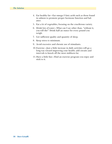- 4. Eat healthy fat—Eat omega-3 fatty acids such as those found in salmon to promote proper hormone function and balance.
- 5. Eat a *lot* of vegetables, focusing on the cruciferous variety.
- 6. Drink lots of water—What can I say other than, "without it, you will die!" Drink half an ounce for every pound you weigh.
- 7. Get sufficient quality and quantity of sleep.
- 8. Keep stress to minimum.
- 9. Avoid excessive and chronic use of stimulants.
- 10.Exercise—Just a little increase in daily activities will go a long way toward improving your health; add circuits and intervals to knock off the most stubborn fat.
- 11.Have a little fun—Find an exercise program you enjoy and stick to it.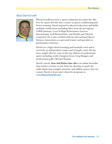#### <span id="page-22-0"></span>About David Grisaffi



David Grisaffi has been a sports enthusiast his entire life. His love for sports led him into a career in sports conditioning and fitness training. David majored in physical education and holds multiple certifications including three from the prestigious CHEK Institute: Level II High Performance Exercise Kinesiologist, Golf Biomechanic, and Health and Lifestyle Counselor. He is also certified with the International Sports Sciences Association as a personal trainer and specialist in performance nutrition.

David was a high school wrestling and baseball coach and is currently an independent trainer and strength coach. He has been sought after by some of the top athletes in professional sports including world champion boxer Greg Haugen and professional golfer Michael Putnam.

David's ebook, *Firm And Flatten Your Abs* is an online bestseller that teaches you how to lose body fat, develop six-pack abs while improving strength, function, and athletic power. You can contact David or learn more about his programs at **[www.FlattenYourAbs.net](http://exercise.davidfit.hop.clickbank.net)**.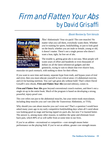# <span id="page-24-0"></span>Firm and Flatten Your Abs by David Grisaffi

#### Ebook Review by Tom Venuto



Abs! Abdominals! Your six-pack! The core muscles! No matter what you call them, everybody wants them. Whether you're training for sports, bodybuilding, or just to look good on the beach; whether you are male or female, young or old, it doesn't matter. There's not a single person who doesn't want a lean, tight, fat free set of abs.

The trouble is, getting great abs is not easy. Most people will waste years of effort and hundreds or even thousands of dollars on all the latest infomercial gadgets and diet gimmicks, trying in vain to obtain that ever elusive lean,

muscular six-pack stomach, with nothing to show for their efforts.

If you want to save time and money, separate hype from truth, and bypass years of trial and error, then you must educate yourself in two critical areas: (1) abdominal exercise, and (2) fat burning nutrition. You can't get great abs without both! That's where David Grisaffi's new ebook, *Firm and Flatten Your Abs* (second edition), comes in.

*Firm and Flatten Your Abs* goes beyond conventional crunch routines, and there's not a single sit-up in the entire book. Much of the program is based on developing a strong, powerful, injury-proof core.

The *core* refers not just to the abdominal muscles, but your entire trunk musculature, including deep muscles you can't see (like the Transversus Abdominis, or TVA).

Why should you care about muscles you can't even see? That's a question I would have asked many years ago in my early competitive bodybuilding days when all I cared about was looking good on stage and having ripped six-pack abs, but now I've learned better. The answer is, among many other reasons, to stabilize the spine and eliminate lower back pain, which 80% of us will suffer from at some time in our lives.

If you're an athlete—recreational or competitive—core strength means better performance on the playing field. If you're not an athlete, greater core strength means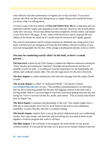more efficient and safer performance of regular, day to day activities. If you know anyone who blew out their back lifting boxes or simply doing work around the house, you know what I'm talking about.

I've had a copy of the first edition of *Firm and Flatten Your Abs* for a long time and was impressed with the variety and uniqueness of the exercises. However, this second edition really blew me away. The second edition has been completely revised, edited, and tripled in size from 60 to 180 pages. In fact, when I told David how much I enjoyed the new edition of his ebook, he asked me if I would write the foreword and I gladly agreed!

The exercise descriptions and ab workout routines are definitely the strong point of the book, and they have not changed at all from the first edition with the exception of new exercises being added into the mix. (Why change something that already works so well?)

#### **You may be wondering exactly what's in the book, so here's a sneak preview…**

**The foreword**, written by me (Tom Venuto), explains the difference between training for "form" (looks) and training for "function" (strength and performance) and how it's possible to train for both—a revelation of extreme importance for the bodybuilder, the athlete, and weekend warrior alike. This sets the stage nicely for the rest of the book.

**The first chapter** is a short introduction and welcome message from the author, David Grisaffi.

**The second chapter** is called "15 Abdominal Myths." On David's website, **[www.FlattenYourAbs.net](http://exercise.davidfit.hop.clickbank.net)**, he says, "This problem (misinformation) is so bad today, that my job of educating people has become like digging a trench in the sand with a sewing needle. Before I can even begin to teach the *truth* about getting muscular abs and losing fat, I have to *un-teach* all the *lies*, *myths*, and *rumors*." That is exactly what David does in chapter two.

**The third chapter** is anatomy and physiology of the core. This chapter might seem a little dry to some people, but if you've never heard of the tranvsversus abdominis, multifidus, or psoas muscles, then this is essential reading.

**The fourth chapter** explains how to set up the perfect abdominal and core conditioning routine. Sets, reps, tempo, rest intervals, and everything else you need to know to put together a workout program that works is all there.

**The fifth chapter** is the real heart of the program: the seven levels of core and ab workout routines. It's not just the fact that you're given seven routines instead of just one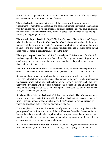that makes this chapter so valuable, it's that each routine increases in difficulty step by step to accommodate increasing levels of fitness.

**The sixth chapter** continues in the heart of the program with descriptions and photographs of more than 50 abdominal and core conditioning exercises. I can guarantee you that, unless you are a veteran exerciser or fitness professional, you have never seen the majority of these exercises before. If you are bored with crunches, sit-ups and leg raises, you are going to *love* this!

**The seventh chapter** is called, "Top 15 Nutrition Secrets to Flatten Your Abs." People who already have my *Burn the Fat, Feed the Muscle* ebook will no doubt be familiar with most of the principles in chapter 7. However, a brief tutorial on fat burning nutrition is an absolute must in any good book about getting six-pack abs. Because, as the saying goes, "abs are made in the kitchen, not just in the gym."

**The eighth chapter**, "Ask David: Q & A," is a real gem. This is the part of the book that has been expanded the most since the first edition. David gets thousands of questions by email every month, and he has take the most frequently asked questions and compiled them right here in chapter eight.

**The ninth and final chapter** is a brief resource directory of recommended products and services. This includes online personal training, ebooks, audio CDs, and equipment.

So now you know what's in the ebook, but you also may be wondering about the exercises and whether you need any special equipment to do them. Good question, since not everyone wants to train in a health club. Many of David's exercises can be done with just your body weight. Others require a stability ball (Swiss ball), and a handful can be done with a cable apparatus you'd find in any gym. This means you can train at home or in a gym, whichever you prefer.

So who will benefit from this ebook? Well, just about anybody. The information applies to you if you are overweight' if you suffer from lower back pain; if you are recovering from C-section, hernia, or abdominal surgery; if you're pregnant or post-pregnancy; if you're an athlete; or even if you're a bodybuilder like me.

The principles in David's ebook are scientifically tested and proven. A graduate of the prestigious Chek Institute with a total of six certifications, David has the credentials and has conducted the research to back up his claims. He spends every day in the trenches, practicing what he preaches as a personal trainer and strength coach for clients as diverse as housewives to professional boxers and golfers.

In summary, *Firm and Flatten Your Abs* is a groundbreaking ebook because it is about form and function, not just form. Stated differently, David's program will help you